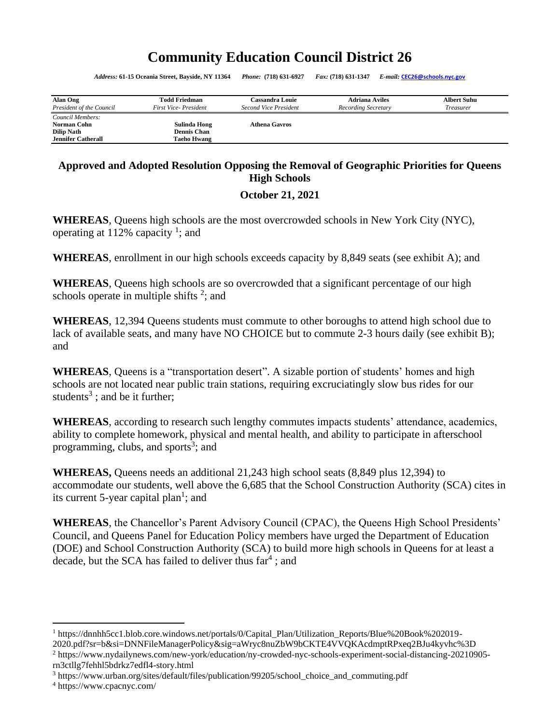# **Community Education Council District 26**

*Address:* **61-15 Oceania Street, Bayside, NY 11364** *Phone:* **(718) 631-6927** *Fax:* **(718) 631-1347** *E-mail:* **[CEC26@schools.nyc.gov](mailto:CEC26@schools.nyc.gov)**

| Alan Ong                                                                          | <b>Todd Friedman</b>                              | Cassandra Louie       | <b>Adriana Aviles</b> | <b>Albert Suhu</b> |
|-----------------------------------------------------------------------------------|---------------------------------------------------|-----------------------|-----------------------|--------------------|
| President of the Council                                                          | <b>First Vice-President</b>                       | Second Vice President | Recording Secretary   | <i>Treasurer</i>   |
| Council Members:<br>Norman Cohn<br><b>Dilip Nath</b><br><b>Jennifer Catherall</b> | Sulinda Hong<br>Dennis Chan<br><b>Taeho Hwang</b> | <b>Athena Gavros</b>  |                       |                    |

## **Approved and Adopted Resolution Opposing the Removal of Geographic Priorities for Queens High Schools**

### <span id="page-0-0"></span>**October 21, 2021**

**WHEREAS**, Queens high schools are the most overcrowded schools in New York City (NYC), operating at 112% capacity<sup>1</sup>; and

**WHEREAS**, enrollment in our high schools exceeds capacity by 8,849 seats (see exhibit A); and

**WHEREAS**, Queens high schools are so overcrowded that a significant percentage of our high schools operate in multiple shifts  $2$ ; and

**WHEREAS**, 12,394 Queens students must commute to other boroughs to attend high school due to lack of available seats, and many have NO CHOICE but to commute 2-3 hours daily (see exhibit B); and

WHEREAS, Queens is a "transportation desert". A sizable portion of students' homes and high schools are not located near public train stations, requiring excruciatingly slow bus rides for our students<sup>3</sup>; and be it further;

**WHEREAS**, according to research such lengthy commutes impacts students' attendance, academics, ability to complete homework, physical and mental health, and ability to participate in afterschool programming, clubs, and sports<sup>3</sup>; and

**WHEREAS,** Queens needs an additional 21,243 high school seats (8,849 plus 12,394) to accommodate our students, well above the 6,685 that the School Construction Authority (SCA) cites in its current 5-year capital plan<sup>[1](#page-0-0)</sup>; and

**WHEREAS**, the Chancellor's Parent Advisory Council (CPAC), the Queens High School Presidents' Council, and Queens Panel for Education Policy members have urged the Department of Education (DOE) and School Construction Authority (SCA) to build more high schools in Queens for at least a decade, but the SCA has failed to deliver thus far<sup>4</sup>; and

<sup>1</sup> https://dnnhh5cc1.blob.core.windows.net/portals/0/Capital\_Plan/Utilization\_Reports/Blue%20Book%202019- 2020.pdf?sr=b&si=DNNFileManagerPolicy&sig=aWryc8nuZbW9bCKTE4VVQKAcdmptRPxeq2BJu4kyvhc%3D

<sup>2</sup> https://www.nydailynews.com/new-york/education/ny-crowded-nyc-schools-experiment-social-distancing-20210905 rn3ctllg7fehhl5bdrkz7edfl4-story.html

<sup>3</sup> https://www.urban.org/sites/default/files/publication/99205/school\_choice\_and\_commuting.pdf

<sup>4</sup> https://www.cpacnyc.com/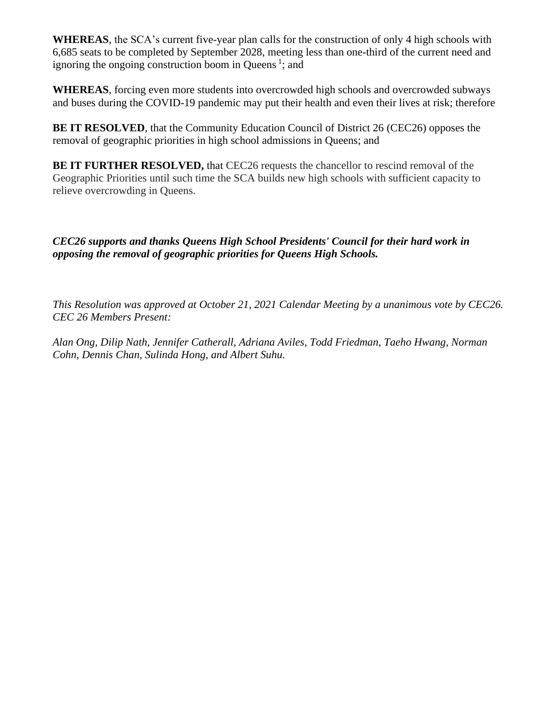**WHEREAS**, the SCA's current five-year plan calls for the construction of only 4 high schools with 6,685 seats to be completed by September 2028, meeting less than one-third of the current need and ignoring the ongoing construction boom in Queens<sup>1</sup>; and

**WHEREAS**, forcing even more students into overcrowded high schools and overcrowded subways and buses during the COVID-19 pandemic may put their health and even their lives at risk; therefore

**BE IT RESOLVED**, that the Community Education Council of District 26 (CEC26) opposes the removal of geographic priorities in high school admissions in Queens; and

**BE IT FURTHER RESOLVED, that CEC26 requests the chancellor to rescind removal of the** Geographic Priorities until such time the SCA builds new high schools with sufficient capacity to relieve overcrowding in Queens.

*CEC26 supports and thanks Queens High School Presidents' Council for their hard work in opposing the removal of geographic priorities for Queens High Schools.* 

*This Resolution was approved at October 21, 2021 Calendar Meeting by a unanimous vote by CEC26. CEC 26 Members Present:*

*Alan Ong, Dilip Nath, Jennifer Catherall, Adriana Aviles, Todd Friedman, Taeho Hwang, Norman Cohn, Dennis Chan, Sulinda Hong, and Albert Suhu.*